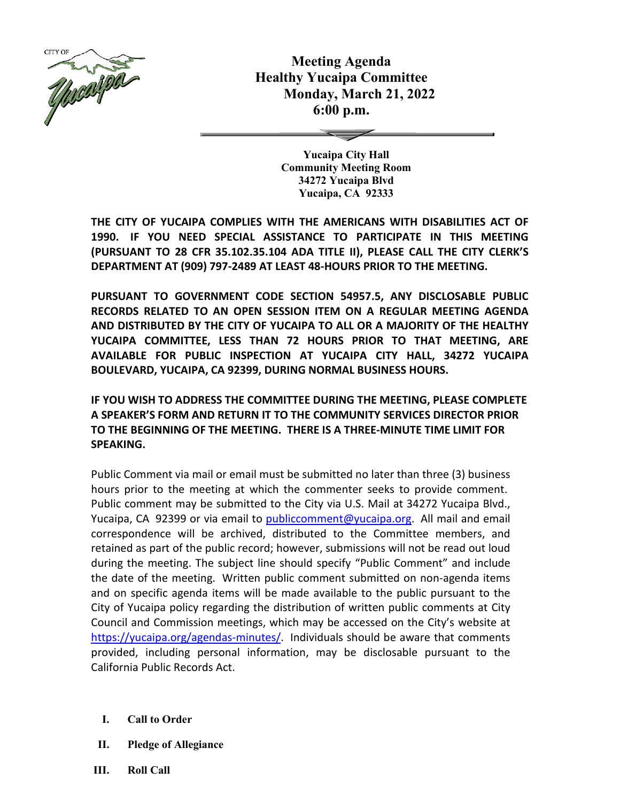

**Meeting Agenda Healthy Yucaipa Committee Monday, March 21, 2022 6:00 p.m.**

> **Yucaipa City Hall Community Meeting Room 34272 Yucaipa Blvd Yucaipa, CA 92333**

**THE CITY OF YUCAIPA COMPLIES WITH THE AMERICANS WITH DISABILITIES ACT OF 1990. IF YOU NEED SPECIAL ASSISTANCE TO PARTICIPATE IN THIS MEETING (PURSUANT TO 28 CFR 35.102.35.104 ADA TITLE II), PLEASE CALL THE CITY CLERK'S DEPARTMENT AT (909) 797-2489 AT LEAST 48-HOURS PRIOR TO THE MEETING.**

**PURSUANT TO GOVERNMENT CODE SECTION 54957.5, ANY DISCLOSABLE PUBLIC RECORDS RELATED TO AN OPEN SESSION ITEM ON A REGULAR MEETING AGENDA AND DISTRIBUTED BY THE CITY OF YUCAIPA TO ALL OR A MAJORITY OF THE HEALTHY YUCAIPA COMMITTEE, LESS THAN 72 HOURS PRIOR TO THAT MEETING, ARE AVAILABLE FOR PUBLIC INSPECTION AT YUCAIPA CITY HALL, 34272 YUCAIPA BOULEVARD, YUCAIPA, CA 92399, DURING NORMAL BUSINESS HOURS.**

**IF YOU WISH TO ADDRESS THE COMMITTEE DURING THE MEETING, PLEASE COMPLETE A SPEAKER'S FORM AND RETURN IT TO THE COMMUNITY SERVICES DIRECTOR PRIOR TO THE BEGINNING OF THE MEETING. THERE IS A THREE-MINUTE TIME LIMIT FOR SPEAKING.**

Public Comment via mail or email must be submitted no later than three (3) business hours prior to the meeting at which the commenter seeks to provide comment. Public comment may be submitted to the City via U.S. Mail at 34272 Yucaipa Blvd., Yucaipa, CA 92399 or via email to [publiccomment@yucaipa.org.](mailto:publiccomment@yucaipa.org) All mail and email correspondence will be archived, distributed to the Committee members, and retained as part of the public record; however, submissions will not be read out loud during the meeting. The subject line should specify "Public Comment" and include the date of the meeting. Written public comment submitted on non-agenda items and on specific agenda items will be made available to the public pursuant to the City of Yucaipa policy regarding the distribution of written public comments at City Council and Commission meetings, which may be accessed on the City's website at [https://yucaipa.org/agendas-minutes/.](https://linkprotect.cudasvc.com/url?a=https%3a%2f%2fyucaipa.org%2fagendas-minutes%2f&c=E,1,8iu_aLaCQsOmYjnWdhNeQgU9-XVoB5a0CzOs_nrmw5nAY-k_y7XZa3JAnXx2dduIQhERc5pzGH0uA9TG0OvmT6S6_YXFTmLh8Gy4-DGG9zUALHtuXEtWj2x5&typo=1) Individuals should be aware that comments provided, including personal information, may be disclosable pursuant to the California Public Records Act.

- **I. Call to Order**
- **II. Pledge of Allegiance**
- **III. Roll Call**